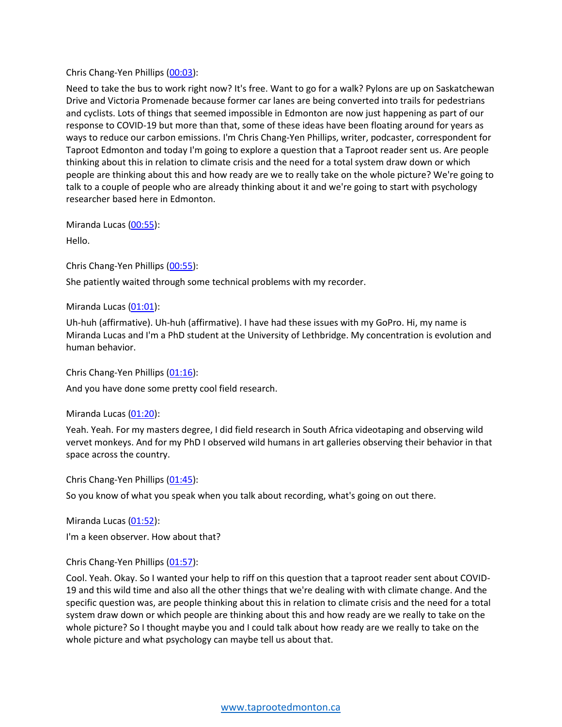#### Chris Chang-Yen Phillips (00:03):

Need to take the bus to work right now? It's free. Want to go for a walk? Pylons are up on Saskatchewan Drive and Victoria Promenade because former car lanes are being converted into trails for pedestrians and cyclists. Lots of things that seemed impossible in Edmonton are now just happening as part of our response to COVID-19 but more than that, some of these ideas have been floating around for years as ways to reduce our carbon emissions. I'm Chris Chang-Yen Phillips, writer, podcaster, correspondent for Taproot Edmonton and today I'm going to explore a question that a Taproot reader sent us. Are people thinking about this in relation to climate crisis and the need for a total system draw down or which people are thinking about this and how ready are we to really take on the whole picture? We're going to talk to a couple of people who are already thinking about it and we're going to start with psychology researcher based here in Edmonton.

Miranda Lucas (00:55):

Hello.

Chris Chang-Yen Phillips (00:55):

She patiently waited through some technical problems with my recorder.

Miranda Lucas (01:01):

Uh-huh (affirmative). Uh-huh (affirmative). I have had these issues with my GoPro. Hi, my name is Miranda Lucas and I'm a PhD student at the University of Lethbridge. My concentration is evolution and human behavior.

Chris Chang-Yen Phillips (01:16):

And you have done some pretty cool field research.

Miranda Lucas (01:20):

Yeah. Yeah. For my masters degree, I did field research in South Africa videotaping and observing wild vervet monkeys. And for my PhD I observed wild humans in art galleries observing their behavior in that space across the country.

Chris Chang-Yen Phillips (01:45):

So you know of what you speak when you talk about recording, what's going on out there.

Miranda Lucas (01:52):

I'm a keen observer. How about that?

Chris Chang-Yen Phillips (01:57):

Cool. Yeah. Okay. So I wanted your help to riff on this question that a taproot reader sent about COVID-19 and this wild time and also all the other things that we're dealing with with climate change. And the specific question was, are people thinking about this in relation to climate crisis and the need for a total system draw down or which people are thinking about this and how ready are we really to take on the whole picture? So I thought maybe you and I could talk about how ready are we really to take on the whole picture and what psychology can maybe tell us about that.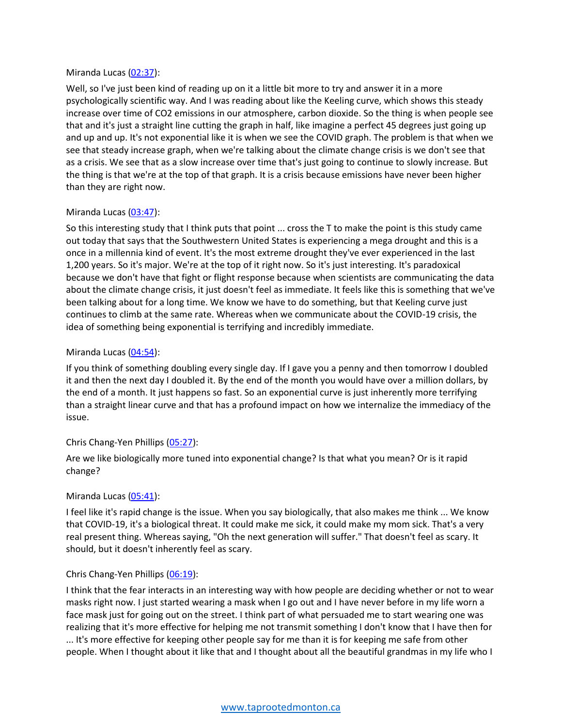#### Miranda Lucas (02:37):

Well, so I've just been kind of reading up on it a little bit more to try and answer it in a more psychologically scientific way. And I was reading about like the Keeling curve, which shows this steady increase over time of CO2 emissions in our atmosphere, carbon dioxide. So the thing is when people see that and it's just a straight line cutting the graph in half, like imagine a perfect 45 degrees just going up and up and up. It's not exponential like it is when we see the COVID graph. The problem is that when we see that steady increase graph, when we're talking about the climate change crisis is we don't see that as a crisis. We see that as a slow increase over time that's just going to continue to slowly increase. But the thing is that we're at the top of that graph. It is a crisis because emissions have never been higher than they are right now.

## Miranda Lucas (03:47):

So this interesting study that I think puts that point ... cross the T to make the point is this study came out today that says that the Southwestern United States is experiencing a mega drought and this is a once in a millennia kind of event. It's the most extreme drought they've ever experienced in the last 1,200 years. So it's major. We're at the top of it right now. So it's just interesting. It's paradoxical because we don't have that fight or flight response because when scientists are communicating the data about the climate change crisis, it just doesn't feel as immediate. It feels like this is something that we've been talking about for a long time. We know we have to do something, but that Keeling curve just continues to climb at the same rate. Whereas when we communicate about the COVID-19 crisis, the idea of something being exponential is terrifying and incredibly immediate.

## Miranda Lucas (04:54):

If you think of something doubling every single day. If I gave you a penny and then tomorrow I doubled it and then the next day I doubled it. By the end of the month you would have over a million dollars, by the end of a month. It just happens so fast. So an exponential curve is just inherently more terrifying than a straight linear curve and that has a profound impact on how we internalize the immediacy of the issue.

## Chris Chang-Yen Phillips (05:27):

Are we like biologically more tuned into exponential change? Is that what you mean? Or is it rapid change?

## Miranda Lucas (05:41):

I feel like it's rapid change is the issue. When you say biologically, that also makes me think ... We know that COVID-19, it's a biological threat. It could make me sick, it could make my mom sick. That's a very real present thing. Whereas saying, "Oh the next generation will suffer." That doesn't feel as scary. It should, but it doesn't inherently feel as scary.

## Chris Chang-Yen Phillips (06:19):

I think that the fear interacts in an interesting way with how people are deciding whether or not to wear masks right now. I just started wearing a mask when I go out and I have never before in my life worn a face mask just for going out on the street. I think part of what persuaded me to start wearing one was realizing that it's more effective for helping me not transmit something I don't know that I have then for ... It's more effective for keeping other people say for me than it is for keeping me safe from other people. When I thought about it like that and I thought about all the beautiful grandmas in my life who I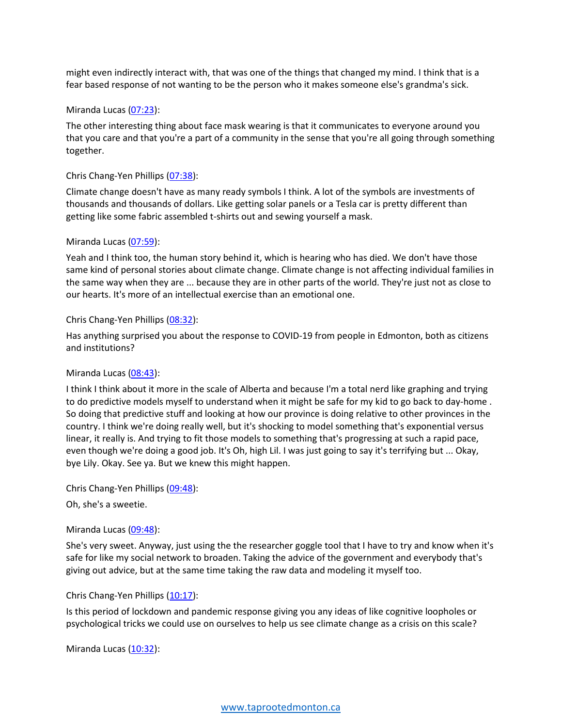might even indirectly interact with, that was one of the things that changed my mind. I think that is a fear based response of not wanting to be the person who it makes someone else's grandma's sick.

#### Miranda Lucas (07:23):

The other interesting thing about face mask wearing is that it communicates to everyone around you that you care and that you're a part of a community in the sense that you're all going through something together.

#### Chris Chang-Yen Phillips (07:38):

Climate change doesn't have as many ready symbols I think. A lot of the symbols are investments of thousands and thousands of dollars. Like getting solar panels or a Tesla car is pretty different than getting like some fabric assembled t-shirts out and sewing yourself a mask.

#### Miranda Lucas (07:59):

Yeah and I think too, the human story behind it, which is hearing who has died. We don't have those same kind of personal stories about climate change. Climate change is not affecting individual families in the same way when they are ... because they are in other parts of the world. They're just not as close to our hearts. It's more of an intellectual exercise than an emotional one.

#### Chris Chang-Yen Phillips (08:32):

Has anything surprised you about the response to COVID-19 from people in Edmonton, both as citizens and institutions?

## Miranda Lucas (08:43):

I think I think about it more in the scale of Alberta and because I'm a total nerd like graphing and trying to do predictive models myself to understand when it might be safe for my kid to go back to day-home . So doing that predictive stuff and looking at how our province is doing relative to other provinces in the country. I think we're doing really well, but it's shocking to model something that's exponential versus linear, it really is. And trying to fit those models to something that's progressing at such a rapid pace, even though we're doing a good job. It's Oh, high Lil. I was just going to say it's terrifying but ... Okay, bye Lily. Okay. See ya. But we knew this might happen.

Chris Chang-Yen Phillips (09:48):

Oh, she's a sweetie.

## Miranda Lucas (09:48):

She's very sweet. Anyway, just using the the researcher goggle tool that I have to try and know when it's safe for like my social network to broaden. Taking the advice of the government and everybody that's giving out advice, but at the same time taking the raw data and modeling it myself too.

## Chris Chang-Yen Phillips (10:17):

Is this period of lockdown and pandemic response giving you any ideas of like cognitive loopholes or psychological tricks we could use on ourselves to help us see climate change as a crisis on this scale?

Miranda Lucas (10:32):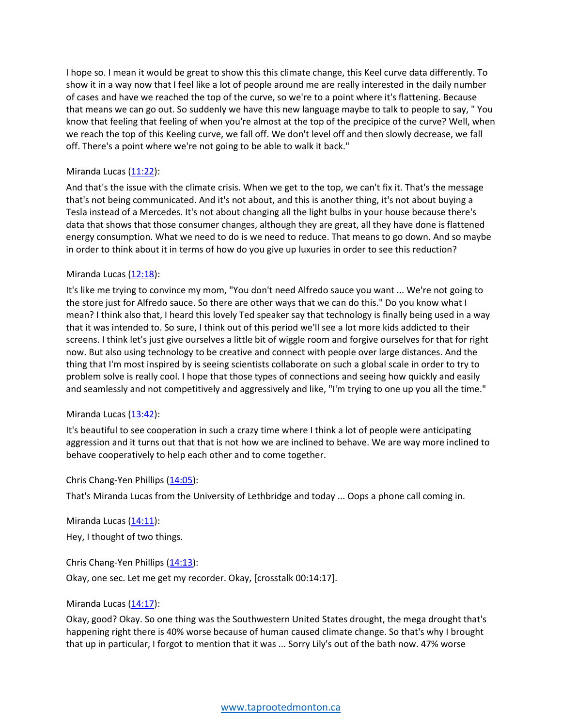I hope so. I mean it would be great to show this this climate change, this Keel curve data differently. To show it in a way now that I feel like a lot of people around me are really interested in the daily number of cases and have we reached the top of the curve, so we're to a point where it's flattening. Because that means we can go out. So suddenly we have this new language maybe to talk to people to say, " You know that feeling that feeling of when you're almost at the top of the precipice of the curve? Well, when we reach the top of this Keeling curve, we fall off. We don't level off and then slowly decrease, we fall off. There's a point where we're not going to be able to walk it back."

# Miranda Lucas  $(11:22)$ :

And that's the issue with the climate crisis. When we get to the top, we can't fix it. That's the message that's not being communicated. And it's not about, and this is another thing, it's not about buying a Tesla instead of a Mercedes. It's not about changing all the light bulbs in your house because there's data that shows that those consumer changes, although they are great, all they have done is flattened energy consumption. What we need to do is we need to reduce. That means to go down. And so maybe in order to think about it in terms of how do you give up luxuries in order to see this reduction?

## Miranda Lucas (12:18):

It's like me trying to convince my mom, "You don't need Alfredo sauce you want ... We're not going to the store just for Alfredo sauce. So there are other ways that we can do this." Do you know what I mean? I think also that, I heard this lovely Ted speaker say that technology is finally being used in a way that it was intended to. So sure, I think out of this period we'll see a lot more kids addicted to their screens. I think let's just give ourselves a little bit of wiggle room and forgive ourselves for that for right now. But also using technology to be creative and connect with people over large distances. And the thing that I'm most inspired by is seeing scientists collaborate on such a global scale in order to try to problem solve is really cool. I hope that those types of connections and seeing how quickly and easily and seamlessly and not competitively and aggressively and like, "I'm trying to one up you all the time."

## Miranda Lucas (13:42):

It's beautiful to see cooperation in such a crazy time where I think a lot of people were anticipating aggression and it turns out that that is not how we are inclined to behave. We are way more inclined to behave cooperatively to help each other and to come together.

#### Chris Chang-Yen Phillips (14:05):

That's Miranda Lucas from the University of Lethbridge and today ... Oops a phone call coming in.

Miranda Lucas  $(14:11)$ :

Hey, I thought of two things.

Chris Chang-Yen Phillips (14:13):

Okay, one sec. Let me get my recorder. Okay, [crosstalk 00:14:17].

#### Miranda Lucas (14:17):

Okay, good? Okay. So one thing was the Southwestern United States drought, the mega drought that's happening right there is 40% worse because of human caused climate change. So that's why I brought that up in particular, I forgot to mention that it was ... Sorry Lily's out of the bath now. 47% worse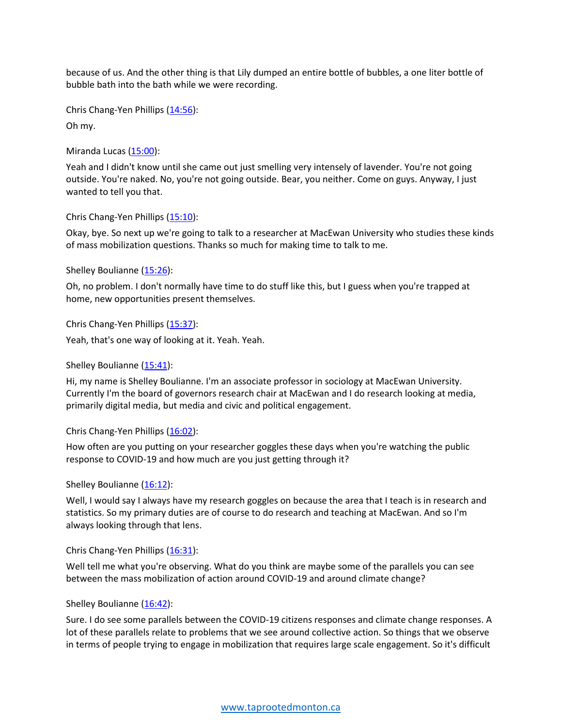because of us. And the other thing is that Lily dumped an entire bottle of bubbles, a one liter bottle of bubble bath into the bath while we were recording.

Chris Chang-Yen Phillips (14:56):

Oh my.

Miranda Lucas (15:00):

Yeah and I didn't know until she came out just smelling very intensely of lavender. You're not going outside. You're naked. No, you're not going outside. Bear, you neither. Come on guys. Anyway, I just wanted to tell you that.

Chris Chang-Yen Phillips (15:10):

Okay, bye. So next up we're going to talk to a researcher at MacEwan University who studies these kinds of mass mobilization questions. Thanks so much for making time to talk to me.

Shelley Boulianne (15:26):

Oh, no problem. I don't normally have time to do stuff like this, but I guess when you're trapped at home, new opportunities present themselves.

Chris Chang-Yen Phillips (15:37):

Yeah, that's one way of looking at it. Yeah. Yeah.

Shelley Boulianne (15:41):

Hi, my name is Shelley Boulianne. I'm an associate professor in sociology at MacEwan University. Currently I'm the board of governors research chair at MacEwan and I do research looking at media, primarily digital media, but media and civic and political engagement.

Chris Chang-Yen Phillips (16:02):

How often are you putting on your researcher goggles these days when you're watching the public response to COVID-19 and how much are you just getting through it?

Shelley Boulianne (16:12):

Well, I would say I always have my research goggles on because the area that I teach is in research and statistics. So my primary duties are of course to do research and teaching at MacEwan. And so I'm always looking through that lens.

Chris Chang-Yen Phillips (16:31):

Well tell me what you're observing. What do you think are maybe some of the parallels you can see between the mass mobilization of action around COVID-19 and around climate change?

Shelley Boulianne (16:42):

Sure. I do see some parallels between the COVID-19 citizens responses and climate change responses. A lot of these parallels relate to problems that we see around collective action. So things that we observe in terms of people trying to engage in mobilization that requires large scale engagement. So it's difficult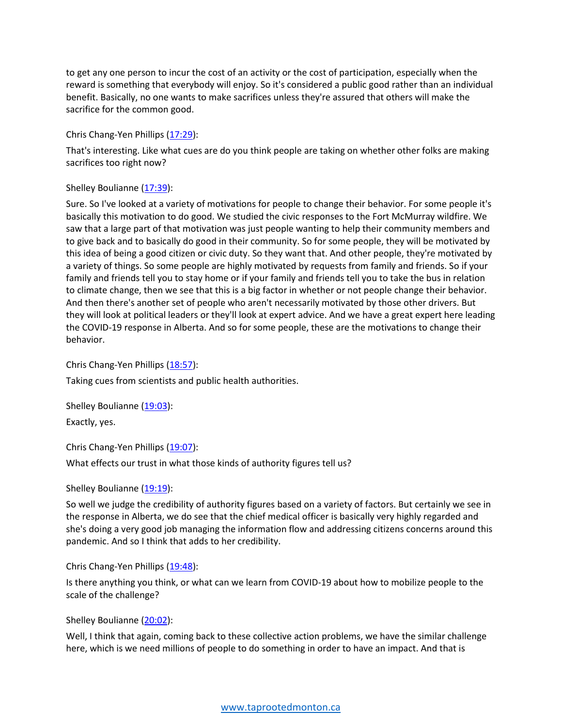to get any one person to incur the cost of an activity or the cost of participation, especially when the reward is something that everybody will enjoy. So it's considered a public good rather than an individual benefit. Basically, no one wants to make sacrifices unless they're assured that others will make the sacrifice for the common good.

#### Chris Chang-Yen Phillips (17:29):

That's interesting. Like what cues are do you think people are taking on whether other folks are making sacrifices too right now?

## Shelley Boulianne (17:39):

Sure. So I've looked at a variety of motivations for people to change their behavior. For some people it's basically this motivation to do good. We studied the civic responses to the Fort McMurray wildfire. We saw that a large part of that motivation was just people wanting to help their community members and to give back and to basically do good in their community. So for some people, they will be motivated by this idea of being a good citizen or civic duty. So they want that. And other people, they're motivated by a variety of things. So some people are highly motivated by requests from family and friends. So if your family and friends tell you to stay home or if your family and friends tell you to take the bus in relation to climate change, then we see that this is a big factor in whether or not people change their behavior. And then there's another set of people who aren't necessarily motivated by those other drivers. But they will look at political leaders or they'll look at expert advice. And we have a great expert here leading the COVID-19 response in Alberta. And so for some people, these are the motivations to change their behavior.

Chris Chang-Yen Phillips (18:57):

Taking cues from scientists and public health authorities.

Shelley Boulianne (19:03):

Exactly, yes.

Chris Chang-Yen Phillips (19:07):

What effects our trust in what those kinds of authority figures tell us?

#### Shelley Boulianne (19:19):

So well we judge the credibility of authority figures based on a variety of factors. But certainly we see in the response in Alberta, we do see that the chief medical officer is basically very highly regarded and she's doing a very good job managing the information flow and addressing citizens concerns around this pandemic. And so I think that adds to her credibility.

Chris Chang-Yen Phillips (19:48):

Is there anything you think, or what can we learn from COVID-19 about how to mobilize people to the scale of the challenge?

#### Shelley Boulianne (20:02):

Well, I think that again, coming back to these collective action problems, we have the similar challenge here, which is we need millions of people to do something in order to have an impact. And that is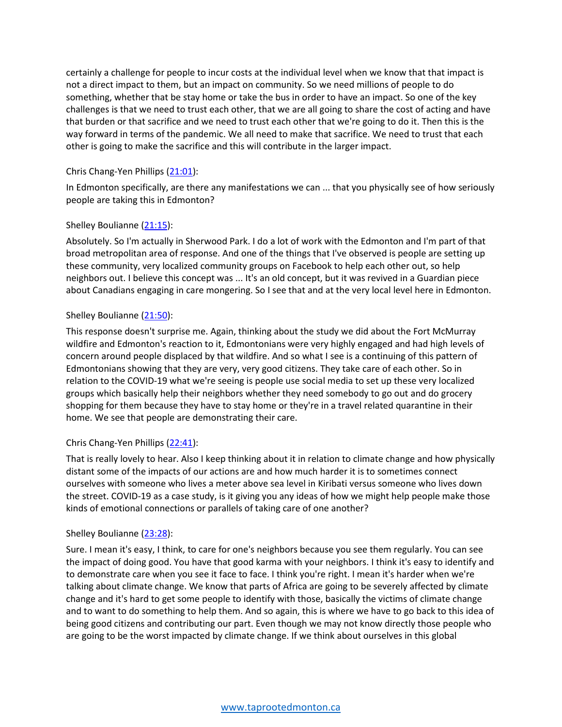certainly a challenge for people to incur costs at the individual level when we know that that impact is not a direct impact to them, but an impact on community. So we need millions of people to do something, whether that be stay home or take the bus in order to have an impact. So one of the key challenges is that we need to trust each other, that we are all going to share the cost of acting and have that burden or that sacrifice and we need to trust each other that we're going to do it. Then this is the way forward in terms of the pandemic. We all need to make that sacrifice. We need to trust that each other is going to make the sacrifice and this will contribute in the larger impact.

## Chris Chang-Yen Phillips (21:01):

In Edmonton specifically, are there any manifestations we can ... that you physically see of how seriously people are taking this in Edmonton?

# Shelley Boulianne (21:15):

Absolutely. So I'm actually in Sherwood Park. I do a lot of work with the Edmonton and I'm part of that broad metropolitan area of response. And one of the things that I've observed is people are setting up these community, very localized community groups on Facebook to help each other out, so help neighbors out. I believe this concept was ... It's an old concept, but it was revived in a Guardian piece about Canadians engaging in care mongering. So I see that and at the very local level here in Edmonton.

# Shelley Boulianne (21:50):

This response doesn't surprise me. Again, thinking about the study we did about the Fort McMurray wildfire and Edmonton's reaction to it, Edmontonians were very highly engaged and had high levels of concern around people displaced by that wildfire. And so what I see is a continuing of this pattern of Edmontonians showing that they are very, very good citizens. They take care of each other. So in relation to the COVID-19 what we're seeing is people use social media to set up these very localized groups which basically help their neighbors whether they need somebody to go out and do grocery shopping for them because they have to stay home or they're in a travel related quarantine in their home. We see that people are demonstrating their care.

## Chris Chang-Yen Phillips (22:41):

That is really lovely to hear. Also I keep thinking about it in relation to climate change and how physically distant some of the impacts of our actions are and how much harder it is to sometimes connect ourselves with someone who lives a meter above sea level in Kiribati versus someone who lives down the street. COVID-19 as a case study, is it giving you any ideas of how we might help people make those kinds of emotional connections or parallels of taking care of one another?

## Shelley Boulianne (23:28):

Sure. I mean it's easy, I think, to care for one's neighbors because you see them regularly. You can see the impact of doing good. You have that good karma with your neighbors. I think it's easy to identify and to demonstrate care when you see it face to face. I think you're right. I mean it's harder when we're talking about climate change. We know that parts of Africa are going to be severely affected by climate change and it's hard to get some people to identify with those, basically the victims of climate change and to want to do something to help them. And so again, this is where we have to go back to this idea of being good citizens and contributing our part. Even though we may not know directly those people who are going to be the worst impacted by climate change. If we think about ourselves in this global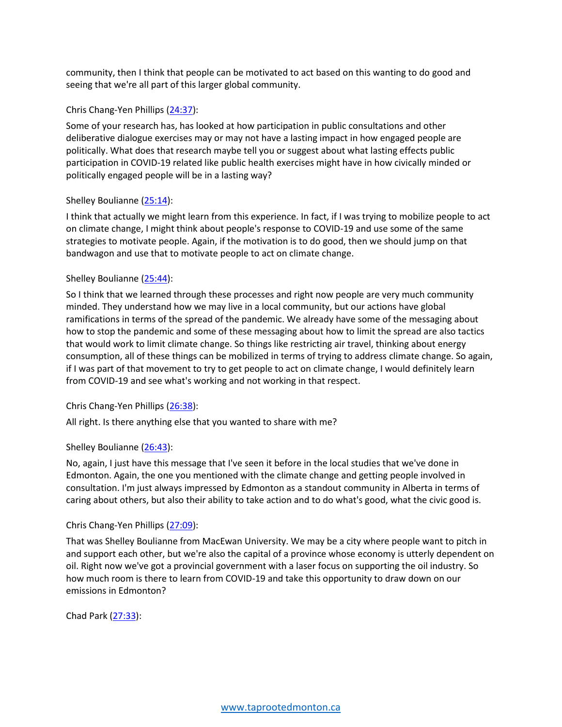community, then I think that people can be motivated to act based on this wanting to do good and seeing that we're all part of this larger global community.

#### Chris Chang-Yen Phillips (24:37):

Some of your research has, has looked at how participation in public consultations and other deliberative dialogue exercises may or may not have a lasting impact in how engaged people are politically. What does that research maybe tell you or suggest about what lasting effects public participation in COVID-19 related like public health exercises might have in how civically minded or politically engaged people will be in a lasting way?

#### Shelley Boulianne (25:14):

I think that actually we might learn from this experience. In fact, if I was trying to mobilize people to act on climate change, I might think about people's response to COVID-19 and use some of the same strategies to motivate people. Again, if the motivation is to do good, then we should jump on that bandwagon and use that to motivate people to act on climate change.

#### Shelley Boulianne (25:44):

So I think that we learned through these processes and right now people are very much community minded. They understand how we may live in a local community, but our actions have global ramifications in terms of the spread of the pandemic. We already have some of the messaging about how to stop the pandemic and some of these messaging about how to limit the spread are also tactics that would work to limit climate change. So things like restricting air travel, thinking about energy consumption, all of these things can be mobilized in terms of trying to address climate change. So again, if I was part of that movement to try to get people to act on climate change, I would definitely learn from COVID-19 and see what's working and not working in that respect.

## Chris Chang-Yen Phillips (26:38):

All right. Is there anything else that you wanted to share with me?

#### Shelley Boulianne (26:43):

No, again, I just have this message that I've seen it before in the local studies that we've done in Edmonton. Again, the one you mentioned with the climate change and getting people involved in consultation. I'm just always impressed by Edmonton as a standout community in Alberta in terms of caring about others, but also their ability to take action and to do what's good, what the civic good is.

#### Chris Chang-Yen Phillips (27:09):

That was Shelley Boulianne from MacEwan University. We may be a city where people want to pitch in and support each other, but we're also the capital of a province whose economy is utterly dependent on oil. Right now we've got a provincial government with a laser focus on supporting the oil industry. So how much room is there to learn from COVID-19 and take this opportunity to draw down on our emissions in Edmonton?

Chad Park (27:33):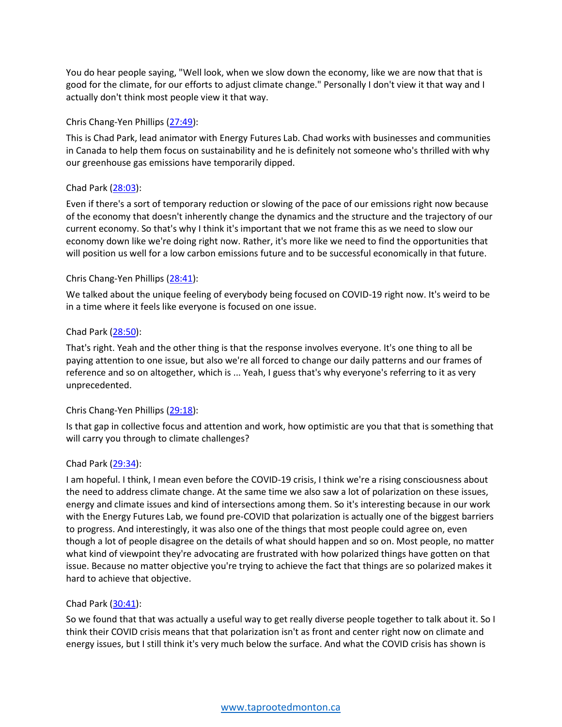You do hear people saying, "Well look, when we slow down the economy, like we are now that that is good for the climate, for our efforts to adjust climate change." Personally I don't view it that way and I actually don't think most people view it that way.

## Chris Chang-Yen Phillips (27:49):

This is Chad Park, lead animator with Energy Futures Lab. Chad works with businesses and communities in Canada to help them focus on sustainability and he is definitely not someone who's thrilled with why our greenhouse gas emissions have temporarily dipped.

#### Chad Park (28:03):

Even if there's a sort of temporary reduction or slowing of the pace of our emissions right now because of the economy that doesn't inherently change the dynamics and the structure and the trajectory of our current economy. So that's why I think it's important that we not frame this as we need to slow our economy down like we're doing right now. Rather, it's more like we need to find the opportunities that will position us well for a low carbon emissions future and to be successful economically in that future.

#### Chris Chang-Yen Phillips (28:41):

We talked about the unique feeling of everybody being focused on COVID-19 right now. It's weird to be in a time where it feels like everyone is focused on one issue.

#### Chad Park (28:50):

That's right. Yeah and the other thing is that the response involves everyone. It's one thing to all be paying attention to one issue, but also we're all forced to change our daily patterns and our frames of reference and so on altogether, which is ... Yeah, I guess that's why everyone's referring to it as very unprecedented.

#### Chris Chang-Yen Phillips (29:18):

Is that gap in collective focus and attention and work, how optimistic are you that that is something that will carry you through to climate challenges?

#### Chad Park (29:34):

I am hopeful. I think, I mean even before the COVID-19 crisis, I think we're a rising consciousness about the need to address climate change. At the same time we also saw a lot of polarization on these issues, energy and climate issues and kind of intersections among them. So it's interesting because in our work with the Energy Futures Lab, we found pre-COVID that polarization is actually one of the biggest barriers to progress. And interestingly, it was also one of the things that most people could agree on, even though a lot of people disagree on the details of what should happen and so on. Most people, no matter what kind of viewpoint they're advocating are frustrated with how polarized things have gotten on that issue. Because no matter objective you're trying to achieve the fact that things are so polarized makes it hard to achieve that objective.

#### Chad Park (30:41):

So we found that that was actually a useful way to get really diverse people together to talk about it. So I think their COVID crisis means that that polarization isn't as front and center right now on climate and energy issues, but I still think it's very much below the surface. And what the COVID crisis has shown is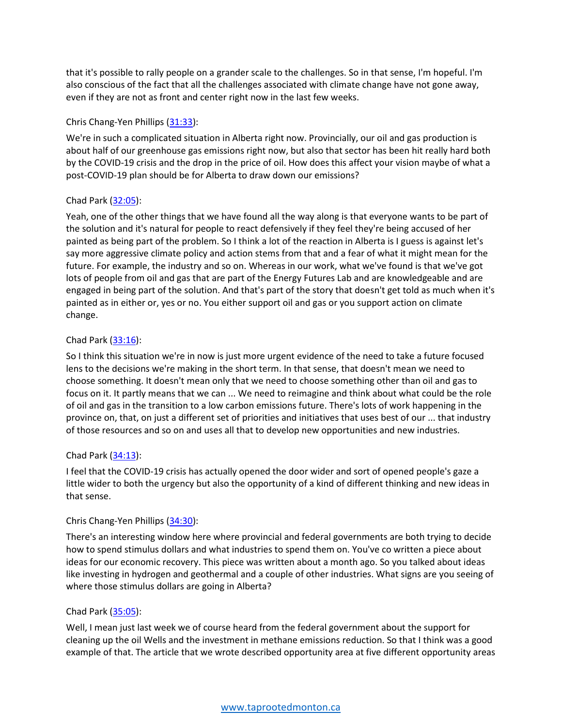that it's possible to rally people on a grander scale to the challenges. So in that sense, I'm hopeful. I'm also conscious of the fact that all the challenges associated with climate change have not gone away, even if they are not as front and center right now in the last few weeks.

## Chris Chang-Yen Phillips (31:33):

We're in such a complicated situation in Alberta right now. Provincially, our oil and gas production is about half of our greenhouse gas emissions right now, but also that sector has been hit really hard both by the COVID-19 crisis and the drop in the price of oil. How does this affect your vision maybe of what a post-COVID-19 plan should be for Alberta to draw down our emissions?

## Chad Park (32:05):

Yeah, one of the other things that we have found all the way along is that everyone wants to be part of the solution and it's natural for people to react defensively if they feel they're being accused of her painted as being part of the problem. So I think a lot of the reaction in Alberta is I guess is against let's say more aggressive climate policy and action stems from that and a fear of what it might mean for the future. For example, the industry and so on. Whereas in our work, what we've found is that we've got lots of people from oil and gas that are part of the Energy Futures Lab and are knowledgeable and are engaged in being part of the solution. And that's part of the story that doesn't get told as much when it's painted as in either or, yes or no. You either support oil and gas or you support action on climate change.

# Chad Park (33:16):

So I think this situation we're in now is just more urgent evidence of the need to take a future focused lens to the decisions we're making in the short term. In that sense, that doesn't mean we need to choose something. It doesn't mean only that we need to choose something other than oil and gas to focus on it. It partly means that we can ... We need to reimagine and think about what could be the role of oil and gas in the transition to a low carbon emissions future. There's lots of work happening in the province on, that, on just a different set of priorities and initiatives that uses best of our ... that industry of those resources and so on and uses all that to develop new opportunities and new industries.

## Chad Park (34:13):

I feel that the COVID-19 crisis has actually opened the door wider and sort of opened people's gaze a little wider to both the urgency but also the opportunity of a kind of different thinking and new ideas in that sense.

## Chris Chang-Yen Phillips (34:30):

There's an interesting window here where provincial and federal governments are both trying to decide how to spend stimulus dollars and what industries to spend them on. You've co written a piece about ideas for our economic recovery. This piece was written about a month ago. So you talked about ideas like investing in hydrogen and geothermal and a couple of other industries. What signs are you seeing of where those stimulus dollars are going in Alberta?

# Chad Park (35:05):

Well, I mean just last week we of course heard from the federal government about the support for cleaning up the oil Wells and the investment in methane emissions reduction. So that I think was a good example of that. The article that we wrote described opportunity area at five different opportunity areas